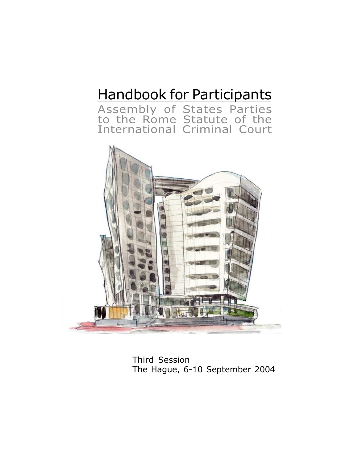# Handbook for Participants

Assembly of States Parties to the Rome Statute of the International Criminal Court



Third Session The Hague, 6-10 September 2004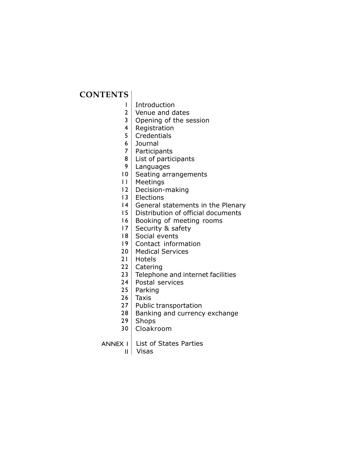# **CONTENTS**

- Introduction 1
- 2 | Venue and dates
- 3 Opening of the session
- 4 | Registration
- 5 | Credentials
- Journal 6
- 7 | Participants
- $8 \mid$  List of participants
- 9 | Languages
- 10 | Seating arrangements
- Meetings  $11$
- 12 | Decision-making
- 13 | Elections
- $14$  General statements in the Plenary
- $15$  Distribution of official documents
- 16 | Booking of meeting rooms
- 17 | Security & safety
- 18 | Social events
- 19 | Contact information
- 20 | Medical Services
- 21 | Hotels
- 22 | Catering
- Telephone and internet facilities  $23$
- 24 | Postal services
- 25 | Parking
- 26 | Taxis
- 27 | Public transportation
- 28 | Banking and currency exchange
- 29 | Shops
- 30 | Cloakroom
- ANNEX I List of States Parties
	- II Visas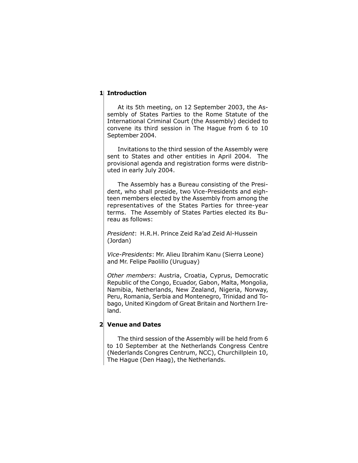#### 1 Introduction

At its 5th meeting, on 12 September 2003, the Assembly of States Parties to the Rome Statute of the International Criminal Court (the Assembly) decided to convene its third session in The Hague from 6 to 10 September 2004.

Invitations to the third session of the Assembly were sent to States and other entities in April 2004. The provisional agenda and registration forms were distributed in early July 2004.

The Assembly has a Bureau consisting of the President, who shall preside, two Vice-Presidents and eighteen members elected by the Assembly from among the representatives of the States Parties for three-year terms. The Assembly of States Parties elected its Bureau as follows:

President: H.R.H. Prince Zeid Raíad Zeid Al-Hussein (Jordan)

Vice-Presidents: Mr. Alieu Ibrahim Kanu (Sierra Leone) and Mr. Felipe Paolillo (Uruguay)

Other members: Austria, Croatia, Cyprus, Democratic Republic of the Congo, Ecuador, Gabon, Malta, Mongolia, Namibia, Netherlands, New Zealand, Nigeria, Norway, Peru, Romania, Serbia and Montenegro, Trinidad and Tobago, United Kingdom of Great Britain and Northern Ireland.

#### Venue and Dates 2

The third session of the Assembly will be held from 6 to 10 September at the Netherlands Congress Centre (Nederlands Congres Centrum, NCC), Churchillplein 10, The Hague (Den Haag), the Netherlands.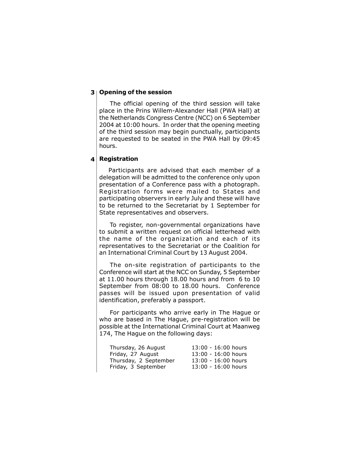#### 3 | Opening of the session

The official opening of the third session will take place in the Prins Willem-Alexander Hall (PWA Hall) at the Netherlands Congress Centre (NCC) on 6 September 2004 at 10:00 hours. In order that the opening meeting of the third session may begin punctually, participants are requested to be seated in the PWA Hall by 09:45 hours.

#### **Registration** 4

Participants are advised that each member of a delegation will be admitted to the conference only upon presentation of a Conference pass with a photograph. Registration forms were mailed to States and participating observers in early July and these will have to be returned to the Secretariat by 1 September for State representatives and observers.

To register, non-governmental organizations have to submit a written request on official letterhead with the name of the organization and each of its representatives to the Secretariat or the Coalition for an International Criminal Court by 13 August 2004.

The on-site registration of participants to the Conference will start at the NCC on Sunday, 5 September at 11.00 hours through 18.00 hours and from 6 to 10 September from 08:00 to 18.00 hours. Conference passes will be issued upon presentation of valid identification, preferably a passport.

For participants who arrive early in The Hague or who are based in The Hague, pre-registration will be possible at the International Criminal Court at Maanweg 174, The Hague on the following days:

| Thursday, 26 August   | $13:00 - 16:00$ hours |
|-----------------------|-----------------------|
| Friday, 27 August     | 13:00 - 16:00 hours   |
| Thursday, 2 September | 13:00 - 16:00 hours   |
| Friday, 3 September   | 13:00 - 16:00 hours   |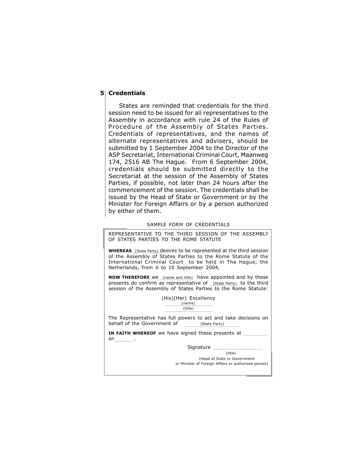# 5 Credentials

States are reminded that credentials for the third session need to be issued for all representatives to the Assembly in accordance with rule 24 of the Rules of Procedure of the Assembly of States Parties. Credentials of representatives, and the names of alternate representatives and advisers, should be submitted by 1 September 2004 to the Director of the ASP Secretariat, International Criminal Court, Maanweg 174, 2516 AB The Hague. From 6 September 2004, credentials should be submitted directly to the Secretariat at the session of the Assembly of States Parties, if possible, not later than 24 hours after the commencement of the session. The credentials shall be issued by the Head of State or Government or by the Minister for Foreign Affairs or by a person authorized by either of them.

#### SAMPLE FORM OF CREDENTIALS

REPRESENTATIVE TO THE THIRD SESSION OF THE ASSEMBLY OF STATES PARTIES TO THE ROME STATUTE

**WHEREAS** (State Party) desires to be represented at the third session of the Assembly of States Parties to the Rome Statute of the International Criminal Court to be held in The Hague, the Netherlands, from 6 to 10 September 2004,

**NOW THEREFORE** We (name and title) have appointed and by these presents do confirm as representative of (State Party) to the third session of the Assembly of States Parties to the Rome Statute:

> (His)(Her) Excellency (name) (title)

The Representative has full powers to act and take decisions on behalf of the Government of (State Party)

IN FAITH WHEREOF we have signed these presents at  $on$ 

Signature \_

(title)

 (Head of State or Government or Minister of Foreign Affairs or authorized person)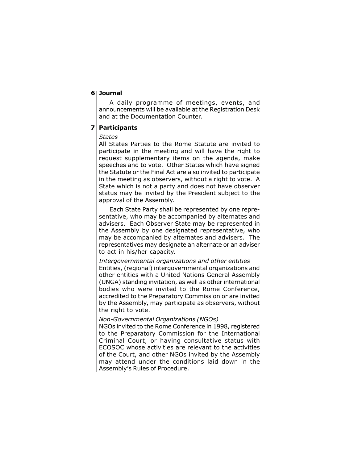#### Journal 6

A daily programme of meetings, events, and announcements will be available at the Registration Desk and at the Documentation Counter.

#### Participants 7

#### **States**

All States Parties to the Rome Statute are invited to participate in the meeting and will have the right to request supplementary items on the agenda, make speeches and to vote. Other States which have signed the Statute or the Final Act are also invited to participate in the meeting as observers, without a right to vote. A State which is not a party and does not have observer status may be invited by the President subject to the approval of the Assembly.

Each State Party shall be represented by one representative, who may be accompanied by alternates and advisers. Each Observer State may be represented in the Assembly by one designated representative, who may be accompanied by alternates and advisers. The representatives may designate an alternate or an adviser to act in his/her capacity.

Intergovernmental organizations and other entities Entities, (regional) intergovernmental organizations and other entities with a United Nations General Assembly (UNGA) standing invitation, as well as other international bodies who were invited to the Rome Conference, accredited to the Preparatory Commission or are invited by the Assembly, may participate as observers, without the right to vote.

# Non-Governmental Organizations (NGOs)

NGOs invited to the Rome Conference in 1998, registered to the Preparatory Commission for the International Criminal Court, or having consultative status with ECOSOC whose activities are relevant to the activities of the Court, and other NGOs invited by the Assembly may attend under the conditions laid down in the Assembly's Rules of Procedure.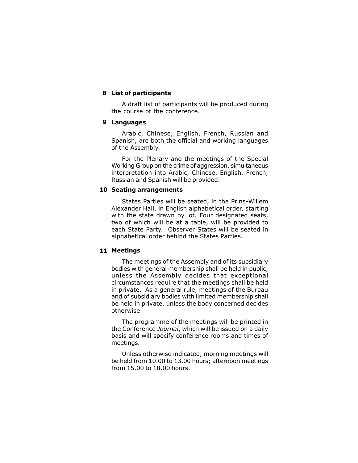# 8 List of participants

A draft list of participants will be produced during the course of the conference.

# Languages 9

Arabic, Chinese, English, French, Russian and Spanish, are both the official and working languages of the Assembly.

For the Plenary and the meetings of the Special Working Group on the crime of aggression, simultaneous interpretation into Arabic, Chinese, English, French, Russian and Spanish will be provided.

# 10 Seating arrangements

States Parties will be seated, in the Prins-Willem Alexander Hall, in English alphabetical order, starting with the state drawn by lot. Four designated seats, two of which will be at a table, will be provided to each State Party. Observer States will be seated in alphabetical order behind the States Parties.

# 11 Meetings

The meetings of the Assembly and of its subsidiary bodies with general membership shall be held in public, unless the Assembly decides that exceptional circumstances require that the meetings shall be held in private. As a general rule, meetings of the Bureau and of subsidiary bodies with limited membership shall be held in private, unless the body concerned decides otherwise.

The programme of the meetings will be printed in the Conference Journal, which will be issued on a daily basis and will specify conference rooms and times of meetings.

Unless otherwise indicated, morning meetings will be held from 10.00 to 13.00 hours; afternoon meetings from 15.00 to 18.00 hours.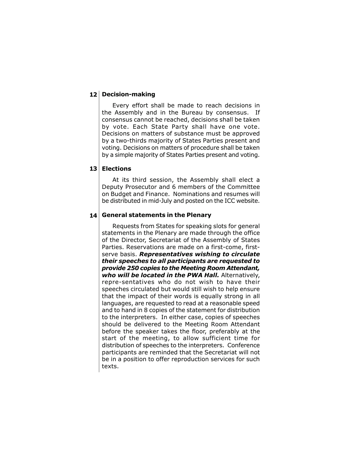# 12 Decision-making

Every effort shall be made to reach decisions in the Assembly and in the Bureau by consensus. If consensus cannot be reached, decisions shall be taken by vote. Each State Party shall have one vote. Decisions on matters of substance must be approved by a two-thirds majority of States Parties present and voting. Decisions on matters of procedure shall be taken by a simple majority of States Parties present and voting.

# Elections 13

At its third session, the Assembly shall elect a Deputy Prosecutor and 6 members of the Committee on Budget and Finance. Nominations and resumes will be distributed in mid-July and posted on the ICC website.

#### $14$  General statements in the Plenary

Requests from States for speaking slots for general statements in the Plenary are made through the office of the Director, Secretariat of the Assembly of States Parties. Reservations are made on a first-come, firstserve basis. Representatives wishing to circulate their speeches to all participants are requested to provide 250 copies to the Meeting Room Attendant, who will be located in the PWA Hall. Alternatively, repre-sentatives who do not wish to have their speeches circulated but would still wish to help ensure that the impact of their words is equally strong in all languages, are requested to read at a reasonable speed and to hand in 8 copies of the statement for distribution to the interpreters. In either case, copies of speeches should be delivered to the Meeting Room Attendant before the speaker takes the floor, preferably at the start of the meeting, to allow sufficient time for distribution of speeches to the interpreters. Conference participants are reminded that the Secretariat will not be in a position to offer reproduction services for such texts.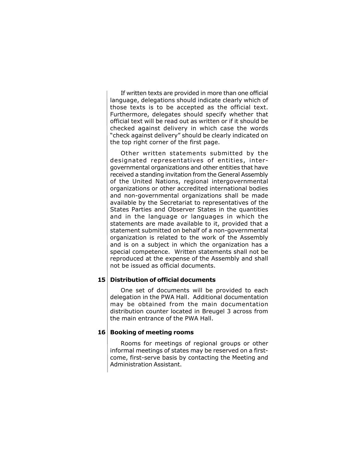If written texts are provided in more than one official language, delegations should indicate clearly which of those texts is to be accepted as the official text. Furthermore, delegates should specify whether that official text will be read out as written or if it should be checked against delivery in which case the words "check against delivery" should be clearly indicated on the top right corner of the first page.

Other written statements submitted by the designated representatives of entities, intergovernmental organizations and other entities that have received a standing invitation from the General Assembly of the United Nations, regional intergovernmental organizations or other accredited international bodies and non-governmental organizations shall be made available by the Secretariat to representatives of the States Parties and Observer States in the quantities and in the language or languages in which the statements are made available to it, provided that a statement submitted on behalf of a non-governmental organization is related to the work of the Assembly and is on a subject in which the organization has a special competence. Written statements shall not be reproduced at the expense of the Assembly and shall not be issued as official documents.

#### 15 Distribution of official documents

One set of documents will be provided to each delegation in the PWA Hall. Additional documentation may be obtained from the main documentation distribution counter located in Breugel 3 across from the main entrance of the PWA Hall.

#### 16 Booking of meeting rooms

Rooms for meetings of regional groups or other informal meetings of states may be reserved on a firstcome, first-serve basis by contacting the Meeting and Administration Assistant.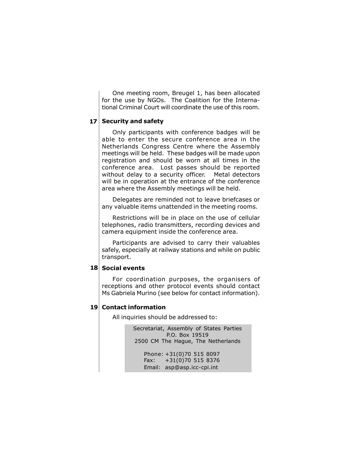One meeting room, Breugel 1, has been allocated for the use by NGOs. The Coalition for the International Criminal Court will coordinate the use of this room.

# 17 Security and safety

Only participants with conference badges will be able to enter the secure conference area in the Netherlands Congress Centre where the Assembly meetings will be held. These badges will be made upon registration and should be worn at all times in the conference area. Lost passes should be reported without delay to a security officer. Metal detectors will be in operation at the entrance of the conference area where the Assembly meetings will be held.

Delegates are reminded not to leave briefcases or any valuable items unattended in the meeting rooms.

Restrictions will be in place on the use of cellular telephones, radio transmitters, recording devices and camera equipment inside the conference area.

Participants are advised to carry their valuables safely, especially at railway stations and while on public transport.

#### 18 Social events

For coordination purposes, the organisers of receptions and other protocol events should contact Ms Gabriela Murino (see below for contact information).

# 19 Contact information

All inquiries should be addressed to:

Secretariat, Assembly of States Parties P.O. Box 19519 2500 CM The Hague, The Netherlands

> Phone: +31(0)70 515 8097 Fax: +31(0)70 515 8376 Email: asp@asp.icc-cpi.int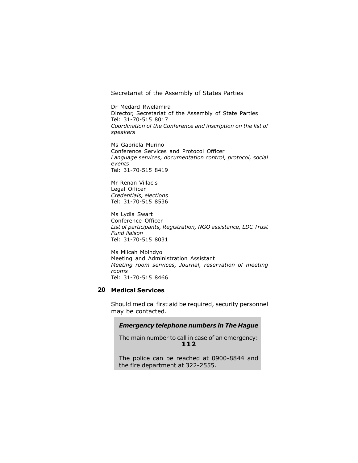# Secretariat of the Assembly of States Parties

Dr Medard Rwelamira Director, Secretariat of the Assembly of State Parties Tel: 31-70-515 8017 Coordination of the Conference and inscription on the list of speakers

Ms Gabriela Murino Conference Services and Protocol Officer Language services, documentation control, protocol, social events Tel: 31-70-515 8419

Mr Renan Villacis Legal Officer Credentials, elections Tel: 31-70-515 8536

Ms Lydia Swart Conference Officer List of participants, Registration, NGO assistance, LDC Trust Fund liaison Tel: 31-70-515 8031

Ms Milcah Mbindyo Meeting and Administration Assistant Meeting room services, Journal, reservation of meeting rooms Tel: 31-70-515 8466

#### 20 Medical Services

Should medical first aid be required, security personnel may be contacted.

#### Emergency telephone numbers in The Hague

The main number to call in case of an emergency: 112

The police can be reached at 0900-8844 and the fire department at 322-2555.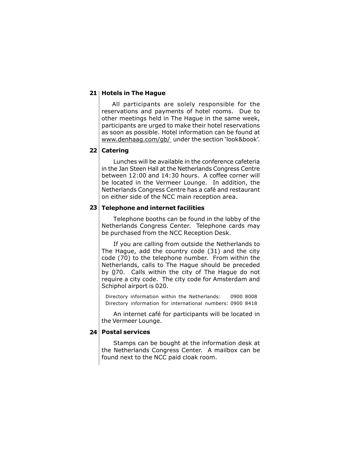# 21 | Hotels in The Hague

All participants are solely responsible for the reservations and payments of hotel rooms. Due to other meetings held in The Hague in the same week, participants are urged to make their hotel reservations as soon as possible. Hotel information can be found at www.denhaag.com/gb/ under the section 'look&book'.

#### 22 | Catering

Lunches will be available in the conference cafeteria in the Jan Steen Hall at the Netherlands Congress Centre between 12:00 and 14:30 hours. A coffee corner will be located in the Vermeer Lounge. In addition, the Netherlands Congress Centre has a café and restaurant on either side of the NCC main reception area.

#### $23$  Telephone and internet facilities

Telephone booths can be found in the lobby of the Netherlands Congress Center. Telephone cards may be purchased from the NCC Reception Desk.

If you are calling from outside the Netherlands to The Hague, add the country code (31) and the city code (70) to the telephone number. From within the Netherlands, calls to The Hague should be preceded by  $0$ 70. Calls within the city of The Hague do not require a city code. The city code for Amsterdam and Schiphol airport is 020.

Directory information within the Netherlands: 0900 8008 Directory information for international numbers: 0900 8418

An internet café for participants will be located in the Vermeer Lounge.

#### 24 Postal services

Stamps can be bought at the information desk at the Netherlands Congress Center. A mailbox can be found next to the NCC paid cloak room.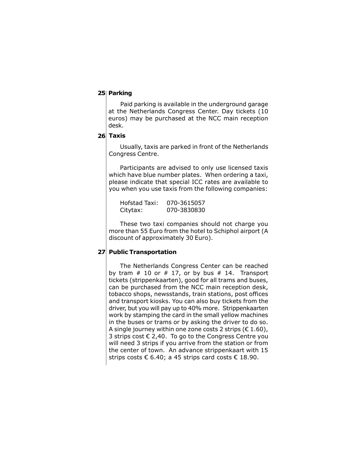#### 25 Parking

Paid parking is available in the underground garage at the Netherlands Congress Center. Day tickets (10 euros) may be purchased at the NCC main reception desk.

#### Taxis 26

Usually, taxis are parked in front of the Netherlands Congress Centre.

Participants are advised to only use licensed taxis which have blue number plates. When ordering a taxi, please indicate that special ICC rates are available to you when you use taxis from the following companies:

| Hofstad Taxi: | 070-3615057 |
|---------------|-------------|
| Citytax:      | 070-3830830 |

These two taxi companies should not charge you more than 55 Euro from the hotel to Schiphol airport (A discount of approximately 30 Euro).

# 27 Public Transportation

The Netherlands Congress Center can be reached by tram  $# 10$  or  $# 17$ , or by bus  $# 14$ . Transport tickets (strippenkaarten), good for all trams and buses, can be purchased from the NCC main reception desk, tobacco shops, newsstands, train stations, post offices and transport kiosks. You can also buy tickets from the driver, but you will pay up to 40% more. Strippenkaarten work by stamping the card in the small yellow machines in the buses or trams or by asking the driver to do so. A single journey within one zone costs 2 strips ( $\epsilon$  1.60), 3 strips cost  $\epsilon$  2,40. To go to the Congress Centre you will need 3 strips if you arrive from the station or from the center of town. An advance strippenkaart with 15 strips costs  $\epsilon$  6.40; a 45 strips card costs  $\epsilon$  18.90.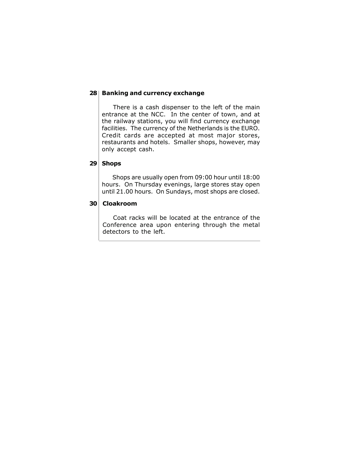# 28 Banking and currency exchange

There is a cash dispenser to the left of the main entrance at the NCC. In the center of town, and at the railway stations, you will find currency exchange facilities. The currency of the Netherlands is the EURO. Credit cards are accepted at most major stores, restaurants and hotels. Smaller shops, however, may only accept cash.

# 29 Shops

Shops are usually open from 09:00 hour until 18:00 hours. On Thursday evenings, large stores stay open until 21.00 hours. On Sundays, most shops are closed.

# Cloakroom 30

Coat racks will be located at the entrance of the Conference area upon entering through the metal detectors to the left.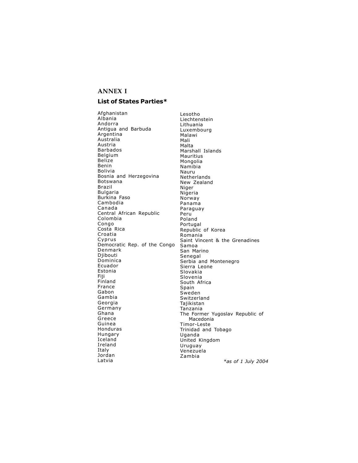#### **ANNEX I**

#### List of States Parties\*

Afghanistan Albania Andorra Antigua and Barbuda Argentina Australia Austria Barbados Belgium Belize Benin Bolivia Bosnia and Herzegovina Botswana Brazil Bulgaria Burkina Faso Cambodia Canada Central African Republic Colombia Congo Costa Rica Croatia Cyprus Democratic Rep. of the Congo Denmark Diibouti Dominica Ecuador Estonia Fiji Finland France Gabon Gambia Georgia Germany Ghana Greece Guinea Honduras Hungary Iceland Ireland Italy Jordan Latvia

Lesotho Liechtenstein Lithuania Luxembourg Malawi Mali Malta Marshall Islands Mauritius Mongolia Namibia Nauru Netherlands New Zealand Niger Nigeria Norway Panama Paraguay Peru Poland Portugal Republic of Korea Romania Saint Vincent & the Grenadines Samoa San Marino Senegal Serbia and Montenegro Sierra Leone Slovakia Slovenia South Africa Spain Sweden Switzerland Tajikistan Tanzania The Former Yugoslav Republic of Macedonia Timor-Leste Trinidad and Tobago Uganda United Kingdom Uruguay Venezuela Zambia \*as of 1 July 2004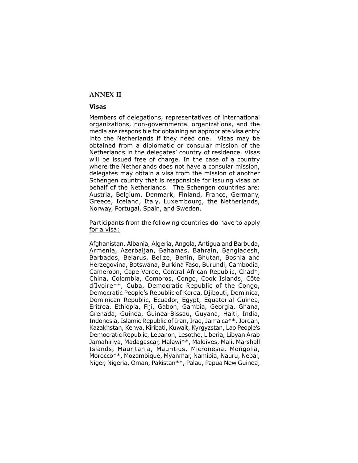#### **ANNEX II**

#### Visas

Members of delegations, representatives of international organizations, non-governmental organizations, and the media are responsible for obtaining an appropriate visa entry into the Netherlands if they need one. Visas may be obtained from a diplomatic or consular mission of the Netherlands in the delegates' country of residence. Visas will be issued free of charge. In the case of a country where the Netherlands does not have a consular mission, delegates may obtain a visa from the mission of another Schengen country that is responsible for issuing visas on behalf of the Netherlands. The Schengen countries are: Austria, Belgium, Denmark, Finland, France, Germany, Greece, Iceland, Italy, Luxembourg, the Netherlands, Norway, Portugal, Spain, and Sweden.

#### Participants from the following countries **do** have to apply for a visa:

Afghanistan, Albania, Algeria, Angola, Antigua and Barbuda, Armenia, Azerbaijan, Bahamas, Bahrain, Bangladesh, Barbados, Belarus, Belize, Benin, Bhutan, Bosnia and Herzegovina, Botswana, Burkina Faso, Burundi, Cambodia, Cameroon, Cape Verde, Central African Republic, Chad\*, China, Colombia, Comoros, Congo, Cook Islands, Côte díIvoire\*\*, Cuba, Democratic Republic of the Congo, Democratic Peopleís Republic of Korea, Djibouti, Dominica, Dominican Republic, Ecuador, Egypt, Equatorial Guinea, Eritrea, Ethiopia, Fiji, Gabon, Gambia, Georgia, Ghana, Grenada, Guinea, Guinea-Bissau, Guyana, Haiti, India, Indonesia, Islamic Republic of Iran, Iraq, Jamaica\*\*, Jordan, Kazakhstan, Kenya, Kiribati, Kuwait, Kyrgyzstan, Lao Peopleís Democratic Republic, Lebanon, Lesotho, Liberia, Libyan Arab Jamahiriya, Madagascar, Malawi\*\*, Maldives, Mali, Marshall Islands, Mauritania, Mauritius, Micronesia, Mongolia, Morocco\*\*, Mozambique, Myanmar, Namibia, Nauru, Nepal, Niger, Nigeria, Oman, Pakistan\*\*, Palau, Papua New Guinea,